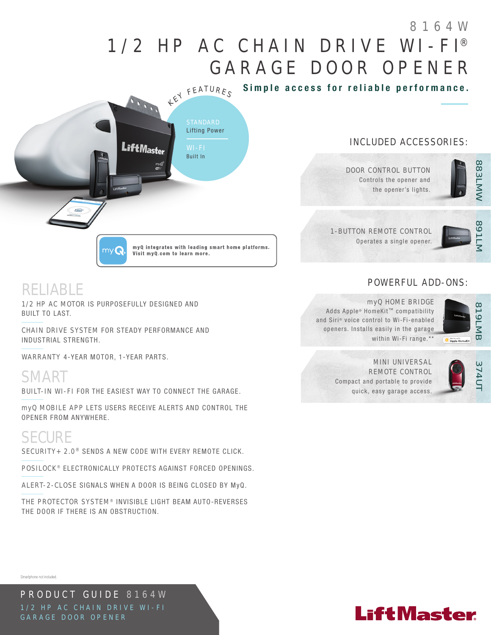# 1/2 HP AC CHAIN DRIVE WI-FI® GARAGE DOOR OPENER 8164W

Simple access for reliable performance.



Visit myQ.com to learn more.

## INCLUDED ACCESSORIES:

DOOR CONTROL BUTTON Controls the opener and the opener's lights.



## 1-BUTTON REMOTE CONTROL Operates a single opener.



## POWERFUL ADD-ONS:



### myQ HOME BRIDGE

Adds Apple® HomeKit™ compatibility and Siri® voice control to Wi-Fi-enabled openers. Installs easily in the garage within Wi-Fi range.\*\*



REMOTE CONTROL Compact and portable to provide quick, easy garage access.

# MINI UNIVERSAL

myQ MOBILE APP LETS USERS RECEIVE ALERTS AND CONTROL THE OPENER FROM ANYWHERE.

BUILT-IN WI-FI FOR THE EASIEST WAY TO CONNECT THE GARAGE.

1/2 HP AC MOTOR IS PURPOSEFULLY DESIGNED AND

WARRANTY 4-YEAR MOTOR, 1-YEAR PARTS.

CHAIN DRIVE SYSTEM FOR STEADY PERFORMANCE AND

# SECURE

BUILT TO LAST.

RELIABLE

SMART

INDUSTRIAL STRENGTH.

SECURITY+ 2.0<sup>®</sup> SENDS A NEW CODE WITH EVERY REMOTE CLICK.

*TIMER-TO-*S. POSILOCK<sup>®</sup> ELECTRONICALLY PROTECTS AGAINST FORCED OPENINGS.

ALERT-2-CLOSE SIGNALS WHEN A DOOR IS BEING CLOSED BY MyQ.

THE PROTECTOR SYSTEM<sup>®</sup> INVISIBLE LIGHT BEAM AUTO-REVERSES THE DOOR IF THERE IS AN OBSTRUCTION.

Smartphone not included.

PRODUCT GUIDE 8164W 1/2 HP AC CHAIN DRIVE WI-FI GARAGE DOOR OPENER

# **LiftMaster**